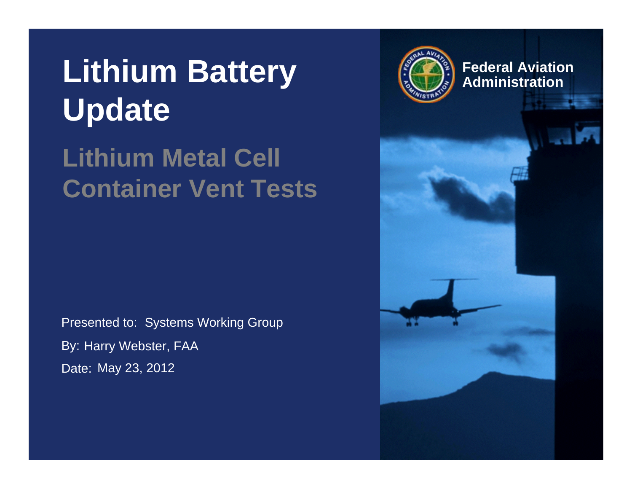#### Lithium Battery **Administration Update**

#### **Lithium Metal Cell Container Vent Tests**

Presented to: Systems Working Group By: Harry Webster, FAA Date: May 23, 2012



**Federal Aviation**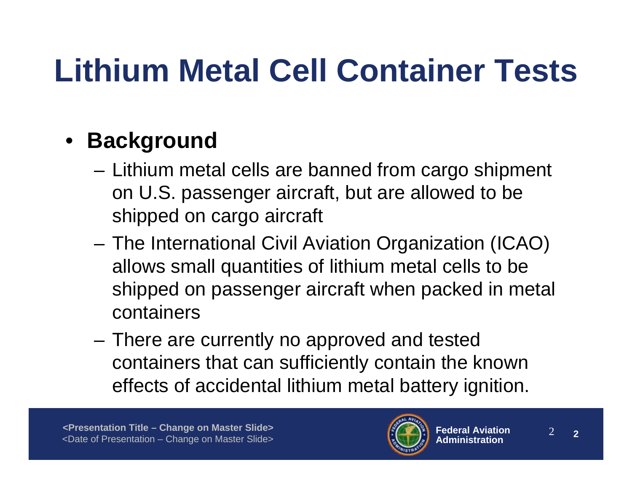#### • **Background**

- Lithium metal cells are banned from cargo shipment on U.S. passenger aircraft, but are allowed to be shipped on cargo aircraft
- The International Civil Aviation Organization (ICAO) allows small quantities of lithium metal cells to be shipped on passenger aircraft when packed in metal containers
- There are currently no approved and tested containers that can sufficiently contain the known effects of accidental lithium metal battery ignition.

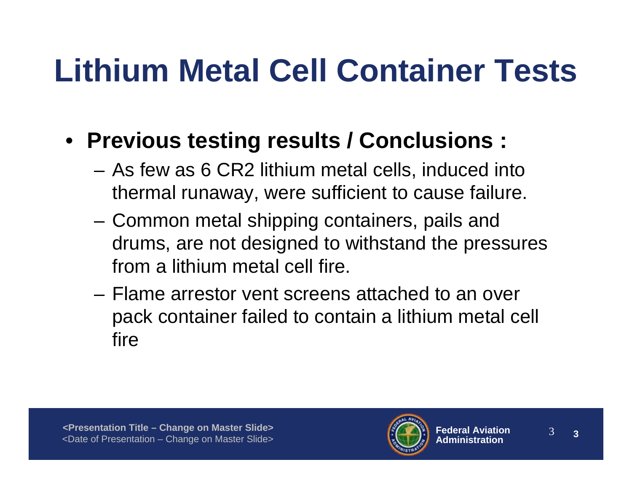- **Previous testing results / Conclusions :**
	- As few as 6 CR2 lithium metal cells, induced into thermal runaway, were sufficient to cause failure.
	- Common metal shipping containers, pails and drums, are not designed to withstand the pressures from a lithium metal cell fire.
	- Flame arrestor vent screens attached to an over pack container failed to contain a lithium metal cell fire

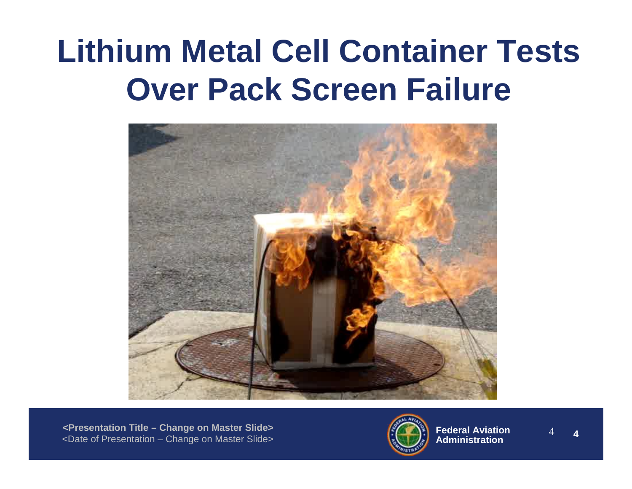#### **Lithium Metal Cell Container Tests Over Pack Screen Failure**



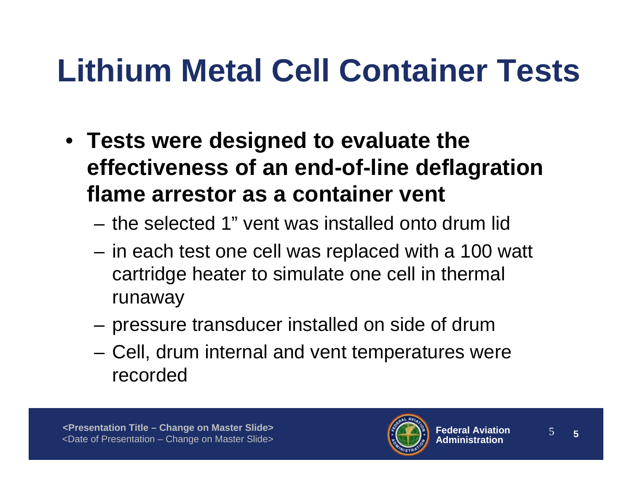- **Tests were designed to evaluate the effectiveness of an end-of-line deflagration flame arrestor as a container vent** 
	- the selected 1" vent was installed onto drum lid
	- in each test one cell was replaced with a 100 watt cartridge heater to simulate one cell in thermal runaway
	- pressure transducer installed on side of drum
	- Cell, drum internal and vent temperatures were recorded

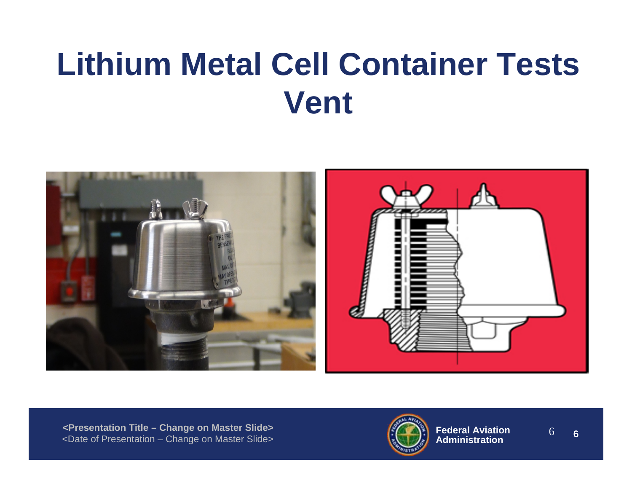

**<Presentation Title – Change on Master Slide>** <Date of Presentation – Change on Master Slide>

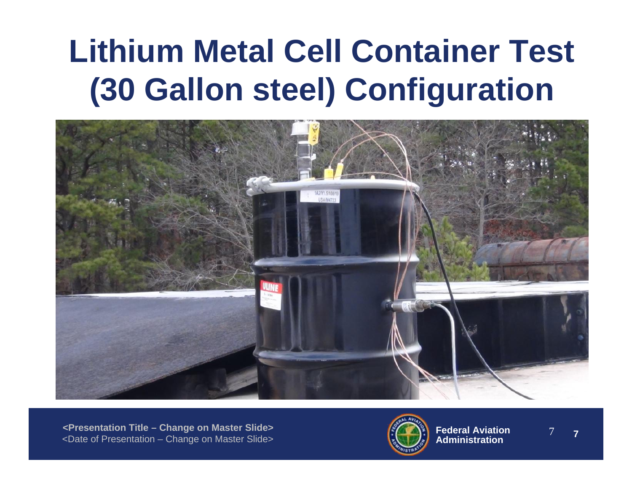#### **Lithium Metal Cell Container Test (30 Gallon steel) Configuration**



**<Presentation Title – Change on Master Slide>** <Date of Presentation – Change on Master Slide>

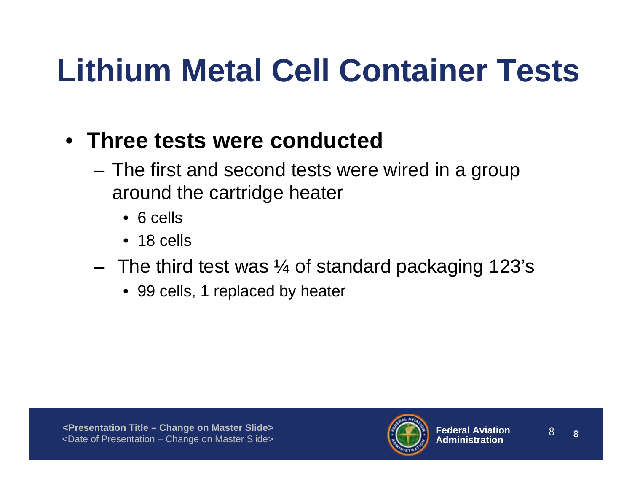- **Three tests were conducted**
	- The first and second tests were wired in a group around the cartridge heater
		- 6 cells
		- 18 cells
	- $-$  The third test was  $\frac{1}{4}$  of standard packaging 123's
		- 99 cells, 1 replaced by heater

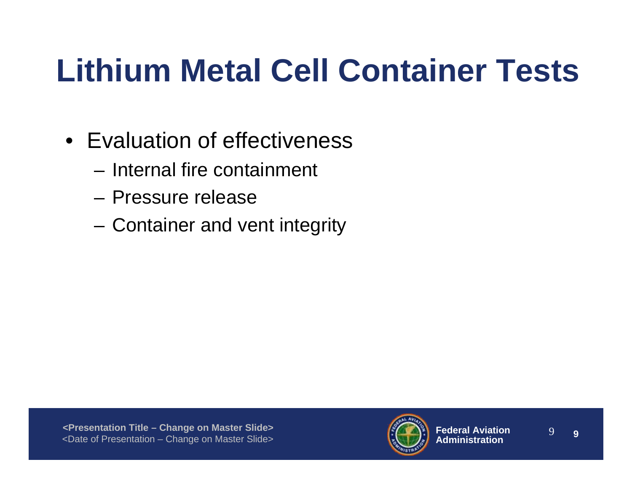- Evaluation of effectiveness
	- Internal fire containment
	- Pressure release
	- Container and vent integrity

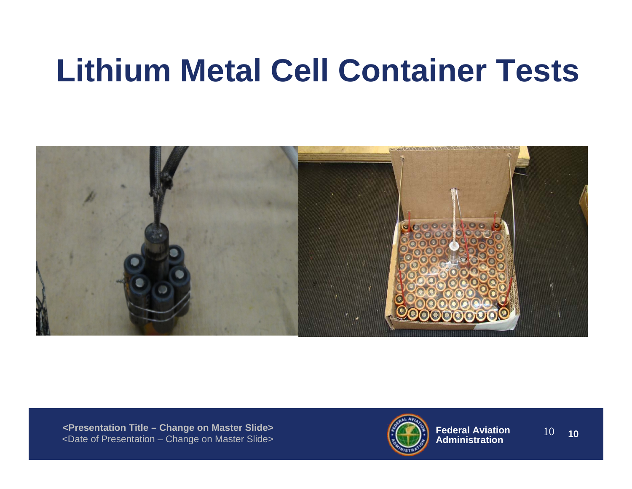

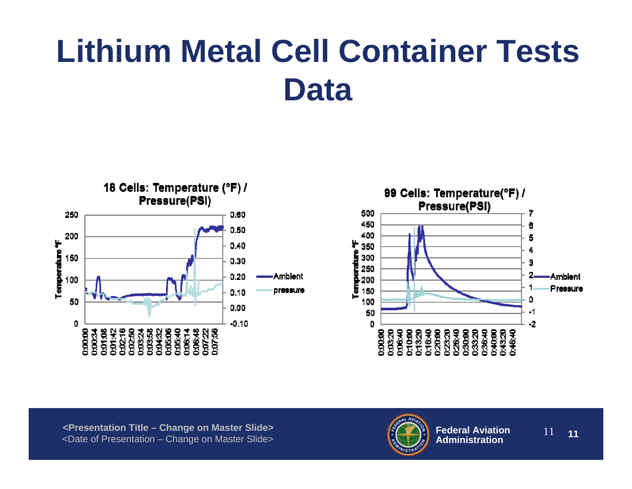

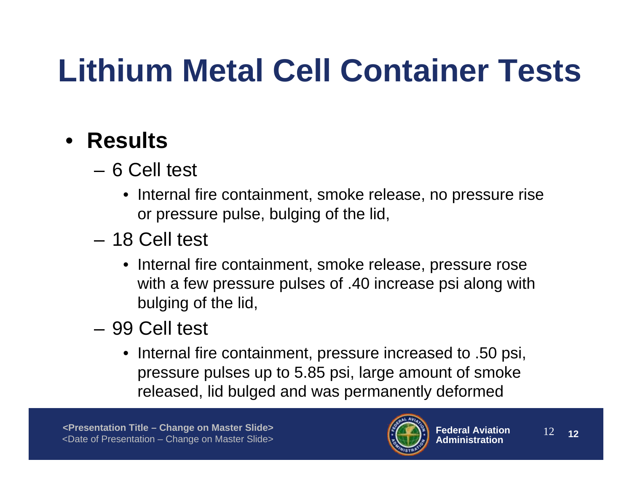#### • **Results**

- 6 Cell test
	- Internal fire containment, smoke release, no pressure rise or pressure pulse, bulging of the lid,
- 18 Cell test
	- Internal fire containment, smoke release, pressure rose with a few pressure pulses of .40 increase psi along with bulging of the lid,
- 99 Cell test
	- Internal fire containment, pressure increased to .50 psi, pressure pulses up to 5.85 psi, large amount of smoke released, lid bulged and was permanently deformed